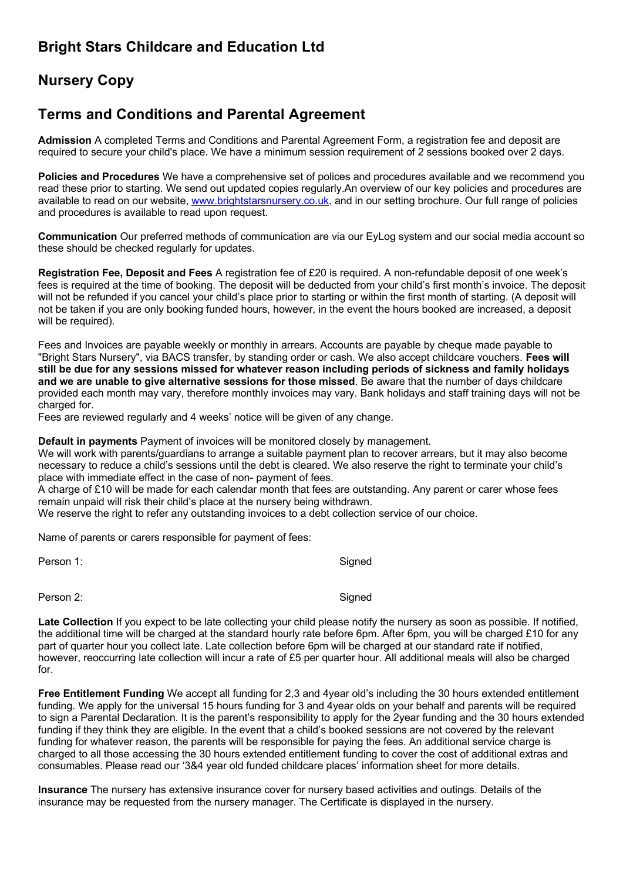## **Bright Stars Childcare and Education Ltd**

# **Nursery Copy**

### **Terms and Conditions and Parental Agreement**

**Admission** A completed Terms and Conditions and Parental Agreement Form, a registration fee and deposit are required to secure your child's place. We have a minimum session requirement of 2 sessions booked over 2 days.

**Policies and Procedures** We have a comprehensive set of polices and procedures available and we recommend you read these prior to starting. We send out updated copies regularly.An overview of our key policies and procedures are available to read on our website, www.brightstarsnursery.co.uk, and in our setting brochure. Our full range of policies and procedures is available to read upon request.

**Communication** Our preferred methods of communication are via our EyLog system and our social media account so these should be checked regularly for updates.

**Registration Fee, Deposit and Fees** A registration fee of £20 is required. A non-refundable deposit of one week's fees is required at the time of booking. The deposit will be deducted from your child's first month's invoice. The deposit will not be refunded if you cancel your child's place prior to starting or within the first month of starting. (A deposit will not be taken if you are only booking funded hours, however, in the event the hours booked are increased, a deposit will be required).

Fees and Invoices are payable weekly or monthly in arrears. Accounts are payable by cheque made payable to "Bright Stars Nursery", via BACS transfer, by standing order or cash. We also accept childcare vouchers. **Fees will still be due for any sessions missed for whatever reason including periods of sickness and family holidays and we are unable to give alternative sessions for those missed**. Be aware that the number of days childcare provided each month may vary, therefore monthly invoices may vary. Bank holidays and staff training days will not be charged for.

Fees are reviewed regularly and 4 weeks' notice will be given of any change.

**Default in payments** Payment of invoices will be monitored closely by management.

We will work with parents/guardians to arrange a suitable payment plan to recover arrears, but it may also become necessary to reduce a child's sessions until the debt is cleared. We also reserve the right to terminate your child's place with immediate effect in the case of non- payment of fees.

A charge of £10 will be made for each calendar month that fees are outstanding. Any parent or carer whose fees remain unpaid will risk their child's place at the nursery being withdrawn.

We reserve the right to refer any outstanding invoices to a debt collection service of our choice.

Name of parents or carers responsible for payment of fees:

Person 1: Signed and Signed and Signed and Signed and Signed and Signed Assembly and Signed Assembly and Signed

Person 2: Signed

Late Collection If you expect to be late collecting your child please notify the nursery as soon as possible. If notified, the additional time will be charged at the standard hourly rate before 6pm. After 6pm, you will be charged £10 for any part of quarter hour you collect late. Late collection before 6pm will be charged at our standard rate if notified, however, reoccurring late collection will incur a rate of £5 per quarter hour. All additional meals will also be charged for.

**Free Entitlement Funding** We accept all funding for 2,3 and 4year old's including the 30 hours extended entitlement funding. We apply for the universal 15 hours funding for 3 and 4year olds on your behalf and parents will be required to sign a Parental Declaration. It is the parent's responsibility to apply for the 2year funding and the 30 hours extended funding if they think they are eligible. In the event that a child's booked sessions are not covered by the relevant funding for whatever reason, the parents will be responsible for paying the fees. An additional service charge is charged to all those accessing the 30 hours extended entitlement funding to cover the cost of additional extras and consumables. Please read our '3&4 year old funded childcare places' information sheet for more details.

**Insurance** The nursery has extensive insurance cover for nursery based activities and outings. Details of the insurance may be requested from the nursery manager. The Certificate is displayed in the nursery.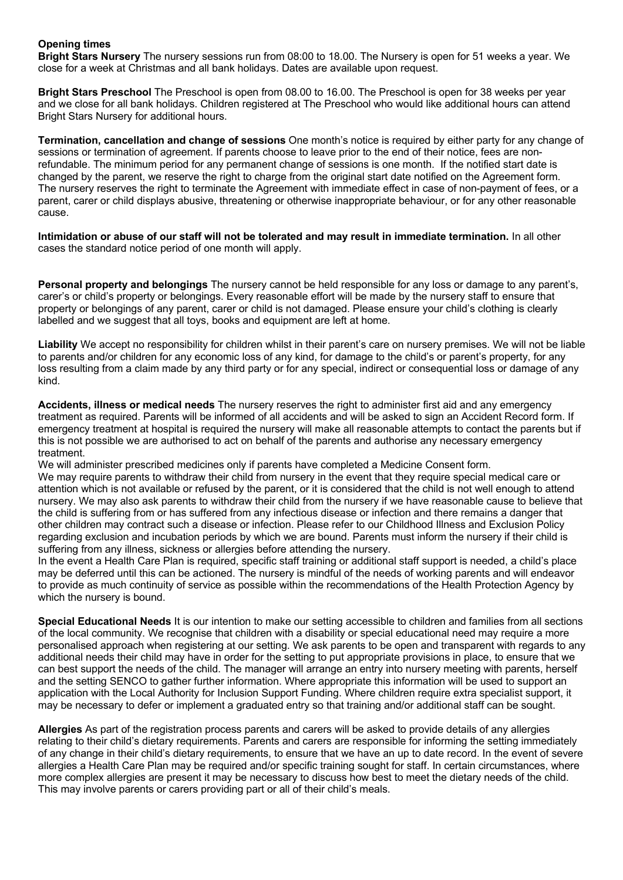### **Opening times**

**Bright Stars Nursery** The nursery sessions run from 08:00 to 18.00. The Nursery is open for 51 weeks a year. We close for a week at Christmas and all bank holidays. Dates are available upon request.

**Bright Stars Preschool** The Preschool is open from 08.00 to 16.00. The Preschool is open for 38 weeks per year and we close for all bank holidays. Children registered at The Preschool who would like additional hours can attend Bright Stars Nursery for additional hours.

**Termination, cancellation and change of sessions** One month's notice is required by either party for any change of sessions or termination of agreement. If parents choose to leave prior to the end of their notice, fees are nonrefundable. The minimum period for any permanent change of sessions is one month. If the notified start date is changed by the parent, we reserve the right to charge from the original start date notified on the Agreement form. The nursery reserves the right to terminate the Agreement with immediate effect in case of non-payment of fees, or a parent, carer or child displays abusive, threatening or otherwise inappropriate behaviour, or for any other reasonable cause.

**Intimidation or abuse of our staff will not be tolerated and may result in immediate termination.** In all other cases the standard notice period of one month will apply.

**Personal property and belongings** The nursery cannot be held responsible for any loss or damage to any parent's, carer's or child's property or belongings. Every reasonable effort will be made by the nursery staff to ensure that property or belongings of any parent, carer or child is not damaged. Please ensure your child's clothing is clearly labelled and we suggest that all toys, books and equipment are left at home.

**Liability** We accept no responsibility for children whilst in their parent's care on nursery premises. We will not be liable to parents and/or children for any economic loss of any kind, for damage to the child's or parent's property, for any loss resulting from a claim made by any third party or for any special, indirect or consequential loss or damage of any kind.

**Accidents, illness or medical needs** The nursery reserves the right to administer first aid and any emergency treatment as required. Parents will be informed of all accidents and will be asked to sign an Accident Record form. If emergency treatment at hospital is required the nursery will make all reasonable attempts to contact the parents but if this is not possible we are authorised to act on behalf of the parents and authorise any necessary emergency treatment.

We will administer prescribed medicines only if parents have completed a Medicine Consent form. We may require parents to withdraw their child from nursery in the event that they require special medical care or

attention which is not available or refused by the parent, or it is considered that the child is not well enough to attend nursery. We may also ask parents to withdraw their child from the nursery if we have reasonable cause to believe that the child is suffering from or has suffered from any infectious disease or infection and there remains a danger that other children may contract such a disease or infection. Please refer to our Childhood Illness and Exclusion Policy regarding exclusion and incubation periods by which we are bound. Parents must inform the nursery if their child is suffering from any illness, sickness or allergies before attending the nursery.

In the event a Health Care Plan is required, specific staff training or additional staff support is needed, a child's place may be deferred until this can be actioned. The nursery is mindful of the needs of working parents and will endeavor to provide as much continuity of service as possible within the recommendations of the Health Protection Agency by which the nursery is bound.

**Special Educational Needs** It is our intention to make our setting accessible to children and families from all sections of the local community. We recognise that children with a disability or special educational need may require a more personalised approach when registering at our setting. We ask parents to be open and transparent with regards to any additional needs their child may have in order for the setting to put appropriate provisions in place, to ensure that we can best support the needs of the child. The manager will arrange an entry into nursery meeting with parents, herself and the setting SENCO to gather further information. Where appropriate this information will be used to support an application with the Local Authority for Inclusion Support Funding. Where children require extra specialist support, it may be necessary to defer or implement a graduated entry so that training and/or additional staff can be sought.

**Allergies** As part of the registration process parents and carers will be asked to provide details of any allergies relating to their child's dietary requirements. Parents and carers are responsible for informing the setting immediately of any change in their child's dietary requirements, to ensure that we have an up to date record. In the event of severe allergies a Health Care Plan may be required and/or specific training sought for staff. In certain circumstances, where more complex allergies are present it may be necessary to discuss how best to meet the dietary needs of the child. This may involve parents or carers providing part or all of their child's meals.